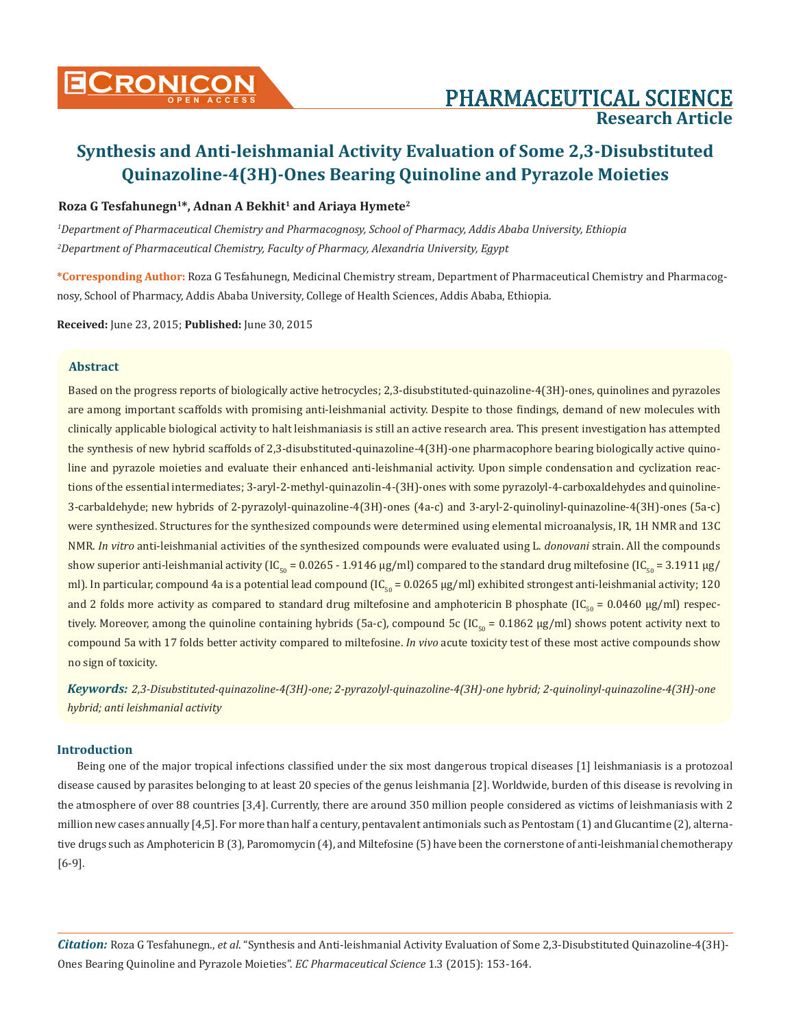# Roza G Tesfahunegn<sup>1\*</sup>, Adnan A Bekhit<sup>1</sup> and Ariaya Hymete<sup>2</sup>

*1 Department of Pharmaceutical Chemistry and Pharmacognosy, School of Pharmacy, Addis Ababa University, Ethiopia 2 Department of Pharmaceutical Chemistry, Faculty of Pharmacy, Alexandria University, Egypt*

**\*Corresponding Author:** Roza G Tesfahunegn, Medicinal Chemistry stream, Department of Pharmaceutical Chemistry and Pharmacognosy, School of Pharmacy, Addis Ababa University, College of Health Sciences, Addis Ababa, Ethiopia.

**Received:** June 23, 2015; **Published:** June 30, 2015

# **Abstract**

Based on the progress reports of biologically active hetrocycles; 2,3-disubstituted-quinazoline-4(3H)-ones, quinolines and pyrazoles are among important scaffolds with promising anti-leishmanial activity. Despite to those findings, demand of new molecules with clinically applicable biological activity to halt leishmaniasis is still an active research area. This present investigation has attempted the synthesis of new hybrid scaffolds of 2,3-disubstituted-quinazoline-4(3H)-one pharmacophore bearing biologically active quinoline and pyrazole moieties and evaluate their enhanced anti-leishmanial activity. Upon simple condensation and cyclization reactions of the essential intermediates; 3-aryl-2-methyl-quinazolin-4-(3H)-ones with some pyrazolyl-4-carboxaldehydes and quinoline-3-carbaldehyde; new hybrids of 2-pyrazolyl-quinazoline-4(3H)-ones (4a-c) and 3-aryl-2-quinolinyl-quinazoline-4(3H)-ones (5a-c) were synthesized. Structures for the synthesized compounds were determined using elemental microanalysis, IR, 1H NMR and 13C NMR. *In vitro* anti-leishmanial activities of the synthesized compounds were evaluated using L. *donovani* strain. All the compounds show superior anti-leishmanial activity (IC<sub>50</sub> = 0.0265 - 1.9146 μg/ml) compared to the standard drug miltefosine (IC<sub>50</sub> = 3.1911 μg/ ml). In particular, compound 4a is a potential lead compound (IC<sub>50</sub> = 0.0265 µg/ml) exhibited strongest anti-leishmanial activity; 120 and 2 folds more activity as compared to standard drug miltefosine and amphotericin B phosphate (IC<sub>50</sub> = 0.0460 μg/ml) respectively. Moreover, among the quinoline containing hybrids (5a-c), compound 5c (IC<sub>50</sub> = 0.1862 μg/ml) shows potent activity next to compound 5a with 17 folds better activity compared to miltefosine. *In vivo* acute toxicity test of these most active compounds show no sign of toxicity.

*Keywords: 2,3-Disubstituted-quinazoline-4(3H)-one; 2-pyrazolyl-quinazoline-4(3H)-one hybrid; 2-quinolinyl-quinazoline-4(3H)-one hybrid; anti leishmanial activity*

# **Introduction**

Being one of the major tropical infections classified under the six most dangerous tropical diseases [1] leishmaniasis is a protozoal disease caused by parasites belonging to at least 20 species of the genus leishmania [2]. Worldwide, burden of this disease is revolving in the atmosphere of over 88 countries [3,4]. Currently, there are around 350 million people considered as victims of leishmaniasis with 2 million new cases annually [4,5]. For more than half a century, pentavalent antimonials such as Pentostam (1) and Glucantime (2), alternative drugs such as Amphotericin B (3), Paromomycin (4), and Miltefosine (5) have been the cornerstone of anti-leishmanial chemotherapy [6-9].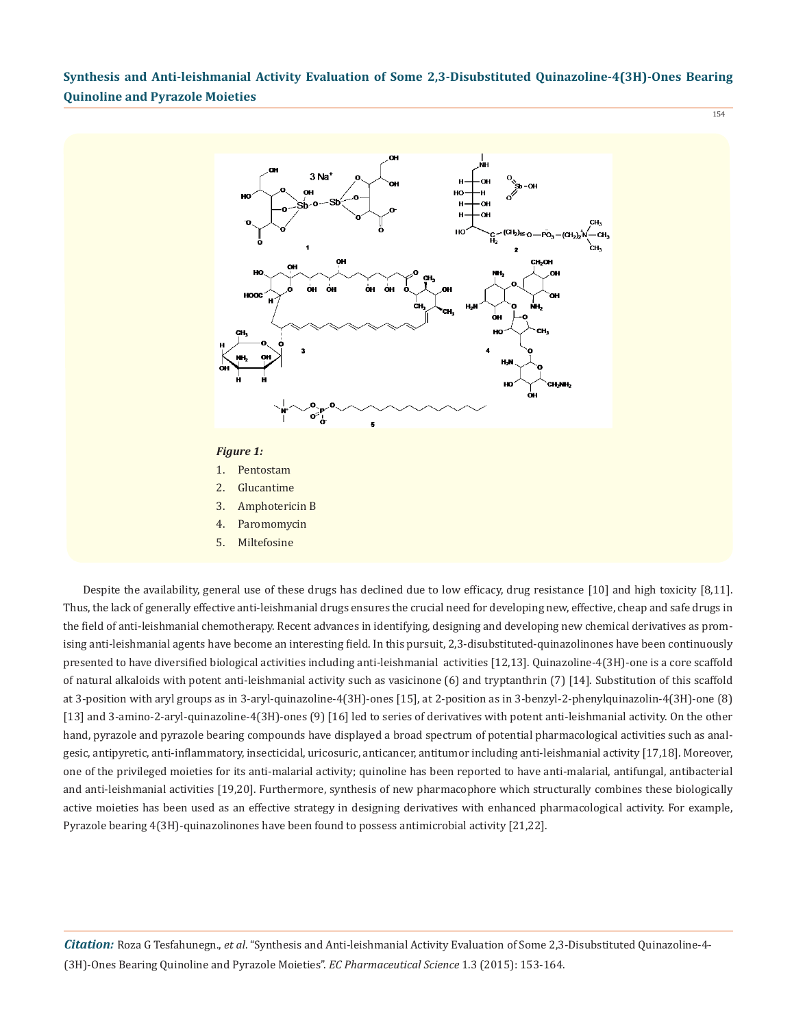

Despite the availability, general use of these drugs has declined due to low efficacy, drug resistance [10] and high toxicity [8,11]. Thus, the lack of generally effective anti-leishmanial drugs ensures the crucial need for developing new, effective, cheap and safe drugs in the field of anti-leishmanial chemotherapy. Recent advances in identifying, designing and developing new chemical derivatives as promising anti-leishmanial agents have become an interesting field. In this pursuit, 2,3-disubstituted-quinazolinones have been continuously presented to have diversified biological activities including anti-leishmanial activities [12,13]. Quinazoline-4(3H)-one is a core scaffold of natural alkaloids with potent anti-leishmanial activity such as vasicinone (6) and tryptanthrin (7) [14]. Substitution of this scaffold at 3-position with aryl groups as in 3-aryl-quinazoline-4(3H)-ones [15], at 2-position as in 3-benzyl-2-phenylquinazolin-4(3H)-one (8) [13] and 3-amino-2-aryl-quinazoline-4(3H)-ones (9) [16] led to series of derivatives with potent anti-leishmanial activity. On the other hand, pyrazole and pyrazole bearing compounds have displayed a broad spectrum of potential pharmacological activities such as analgesic, antipyretic, anti-inflammatory, insecticidal, uricosuric, anticancer, antitumor including anti-leishmanial activity [17,18]. Moreover, one of the privileged moieties for its anti-malarial activity; quinoline has been reported to have anti-malarial, antifungal, antibacterial and anti-leishmanial activities [19,20]. Furthermore, synthesis of new pharmacophore which structurally combines these biologically active moieties has been used as an effective strategy in designing derivatives with enhanced pharmacological activity. For example, Pyrazole bearing 4(3H)-quinazolinones have been found to possess antimicrobial activity [21,22].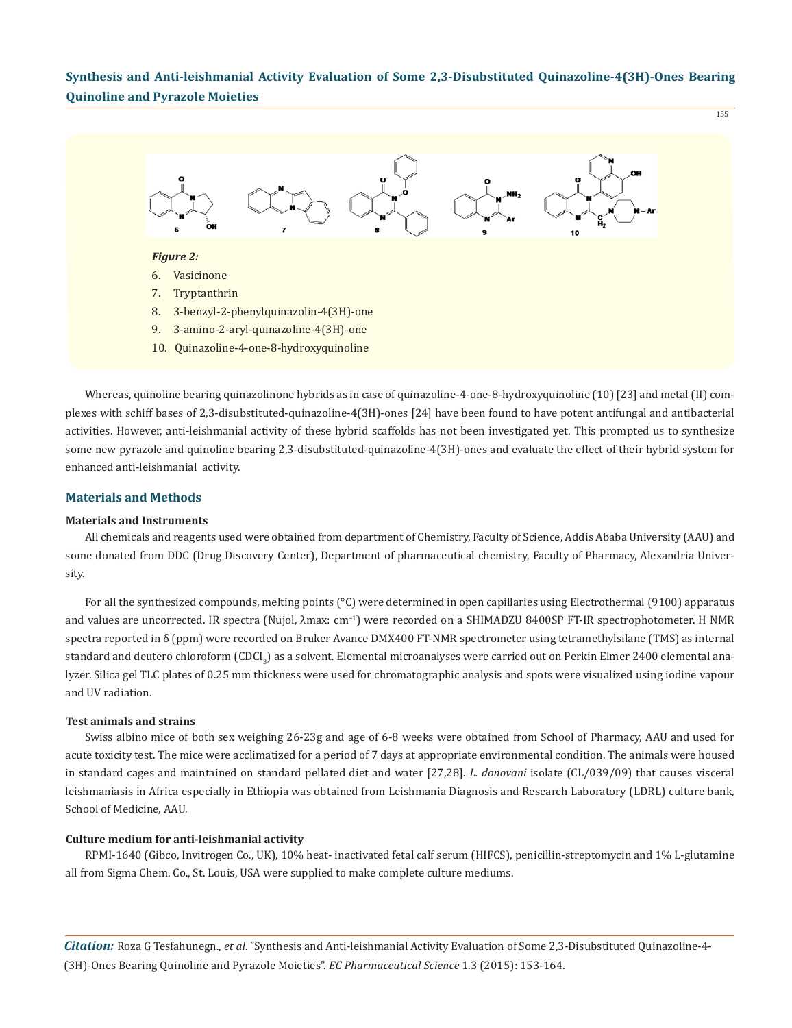155



Whereas, quinoline bearing quinazolinone hybrids as in case of quinazoline-4-one-8-hydroxyquinoline (10) [23] and metal (II) complexes with schiff bases of 2,3-disubstituted-quinazoline-4(3H)-ones [24] have been found to have potent antifungal and antibacterial activities. However, anti-leishmanial activity of these hybrid scaffolds has not been investigated yet. This prompted us to synthesize some new pyrazole and quinoline bearing 2,3-disubstituted-quinazoline-4(3H)-ones and evaluate the effect of their hybrid system for enhanced anti-leishmanial activity.

# **Materials and Methods**

#### **Materials and Instruments**

All chemicals and reagents used were obtained from department of Chemistry, Faculty of Science, Addis Ababa University (AAU) and some donated from DDC (Drug Discovery Center), Department of pharmaceutical chemistry, Faculty of Pharmacy, Alexandria University.

For all the synthesized compounds, melting points (°C) were determined in open capillaries using Electrothermal (9100) apparatus and values are uncorrected. IR spectra (Nujol, λmax: cm−1) were recorded on a SHIMADZU 8400SP FT-IR spectrophotometer. H NMR spectra reported in δ (ppm) were recorded on Bruker Avance DMX400 FT-NMR spectrometer using tetramethylsilane (TMS) as internal standard and deutero chloroform (CDCI<sub>3</sub>) as a solvent. Elemental microanalyses were carried out on Perkin Elmer 2400 elemental analyzer. Silica gel TLC plates of 0.25 mm thickness were used for chromatographic analysis and spots were visualized using iodine vapour and UV radiation.

#### **Test animals and strains**

Swiss albino mice of both sex weighing 26-23g and age of 6-8 weeks were obtained from School of Pharmacy, AAU and used for acute toxicity test. The mice were acclimatized for a period of 7 days at appropriate environmental condition. The animals were housed in standard cages and maintained on standard pellated diet and water [27,28]. *L. donovani* isolate (CL/039/09) that causes visceral leishmaniasis in Africa especially in Ethiopia was obtained from Leishmania Diagnosis and Research Laboratory (LDRL) culture bank, School of Medicine, AAU.

# **Culture medium for anti-leishmanial activity**

RPMI-1640 (Gibco, Invitrogen Co., UK), 10% heat- inactivated fetal calf serum (HIFCS), penicillin-streptomycin and 1% L-glutamine all from Sigma Chem. Co., St. Louis, USA were supplied to make complete culture mediums.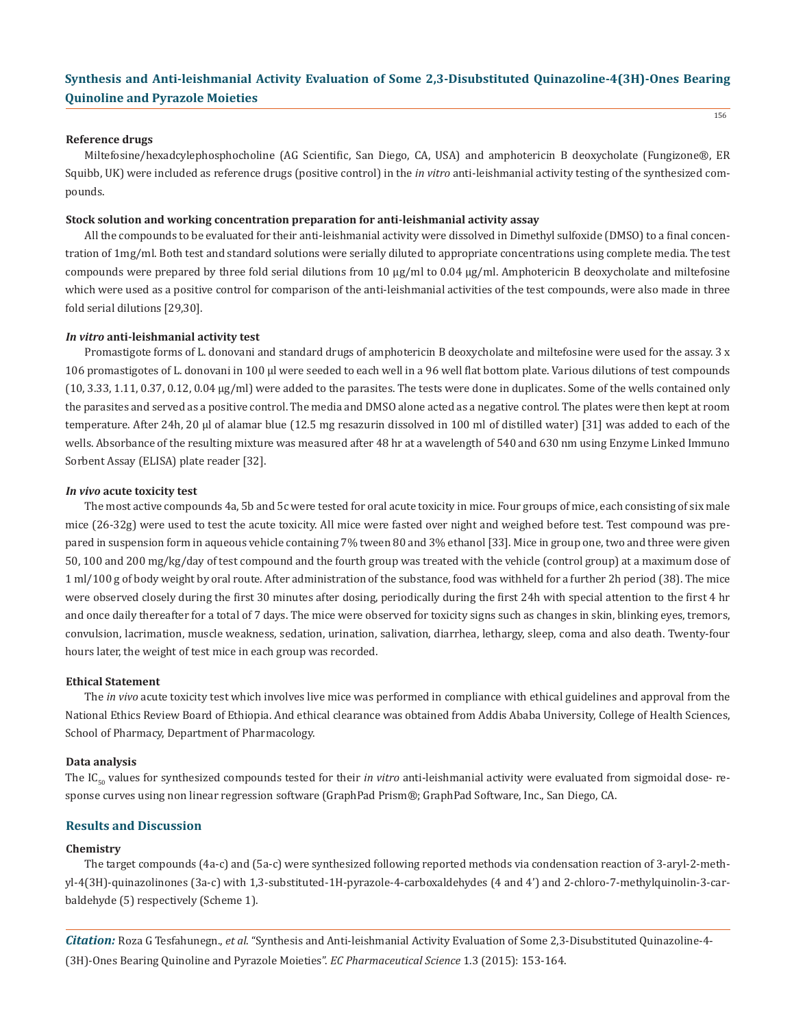#### **Reference drugs**

Miltefosine/hexadcylephosphocholine (AG Scientific, San Diego, CA, USA) and amphotericin B deoxycholate (Fungizone®, ER Squibb, UK) were included as reference drugs (positive control) in the *in vitro* anti-leishmanial activity testing of the synthesized compounds.

#### **Stock solution and working concentration preparation for anti-leishmanial activity assay**

All the compounds to be evaluated for their anti-leishmanial activity were dissolved in Dimethyl sulfoxide (DMSO) to a final concentration of 1mg/ml. Both test and standard solutions were serially diluted to appropriate concentrations using complete media. The test compounds were prepared by three fold serial dilutions from 10 µg/ml to 0.04 µg/ml. Amphotericin B deoxycholate and miltefosine which were used as a positive control for comparison of the anti-leishmanial activities of the test compounds, were also made in three fold serial dilutions [29,30].

#### *In vitro* **anti-leishmanial activity test**

Promastigote forms of L. donovani and standard drugs of amphotericin B deoxycholate and miltefosine were used for the assay. 3 x 106 promastigotes of L. donovani in 100 µl were seeded to each well in a 96 well flat bottom plate. Various dilutions of test compounds (10, 3.33, 1.11, 0.37, 0.12, 0.04 µg/ml) were added to the parasites. The tests were done in duplicates. Some of the wells contained only the parasites and served as a positive control. The media and DMSO alone acted as a negative control. The plates were then kept at room temperature. After 24h, 20 µl of alamar blue (12.5 mg resazurin dissolved in 100 ml of distilled water) [31] was added to each of the wells. Absorbance of the resulting mixture was measured after 48 hr at a wavelength of 540 and 630 nm using Enzyme Linked Immuno Sorbent Assay (ELISA) plate reader [32].

#### *In vivo* **acute toxicity test**

The most active compounds 4a, 5b and 5c were tested for oral acute toxicity in mice. Four groups of mice, each consisting of six male mice (26-32g) were used to test the acute toxicity. All mice were fasted over night and weighed before test. Test compound was prepared in suspension form in aqueous vehicle containing 7% tween 80 and 3% ethanol [33]. Mice in group one, two and three were given 50, 100 and 200 mg/kg/day of test compound and the fourth group was treated with the vehicle (control group) at a maximum dose of 1 ml/100 g of body weight by oral route. After administration of the substance, food was withheld for a further 2h period (38). The mice were observed closely during the first 30 minutes after dosing, periodically during the first 24h with special attention to the first 4 hr and once daily thereafter for a total of 7 days. The mice were observed for toxicity signs such as changes in skin, blinking eyes, tremors, convulsion, lacrimation, muscle weakness, sedation, urination, salivation, diarrhea, lethargy, sleep, coma and also death. Twenty-four hours later, the weight of test mice in each group was recorded.

#### **Ethical Statement**

The *in vivo* acute toxicity test which involves live mice was performed in compliance with ethical guidelines and approval from the National Ethics Review Board of Ethiopia. And ethical clearance was obtained from Addis Ababa University, College of Health Sciences, School of Pharmacy, Department of Pharmacology.

#### **Data analysis**

The IC<sub>50</sub> values for synthesized compounds tested for their *in vitro* anti-leishmanial activity were evaluated from sigmoidal dose- response curves using non linear regression software (GraphPad Prism®; GraphPad Software, Inc., San Diego, CA.

# **Results and Discussion**

#### **Chemistry**

The target compounds (4a-c) and (5a-c) were synthesized following reported methods via condensation reaction of 3-aryl-2-methyl-4(3H)-quinazolinones (3a-c) with 1,3-substituted-1H-pyrazole-4-carboxaldehydes (4 and 4') and 2-chloro-7-methylquinolin-3-carbaldehyde (5) respectively (Scheme 1).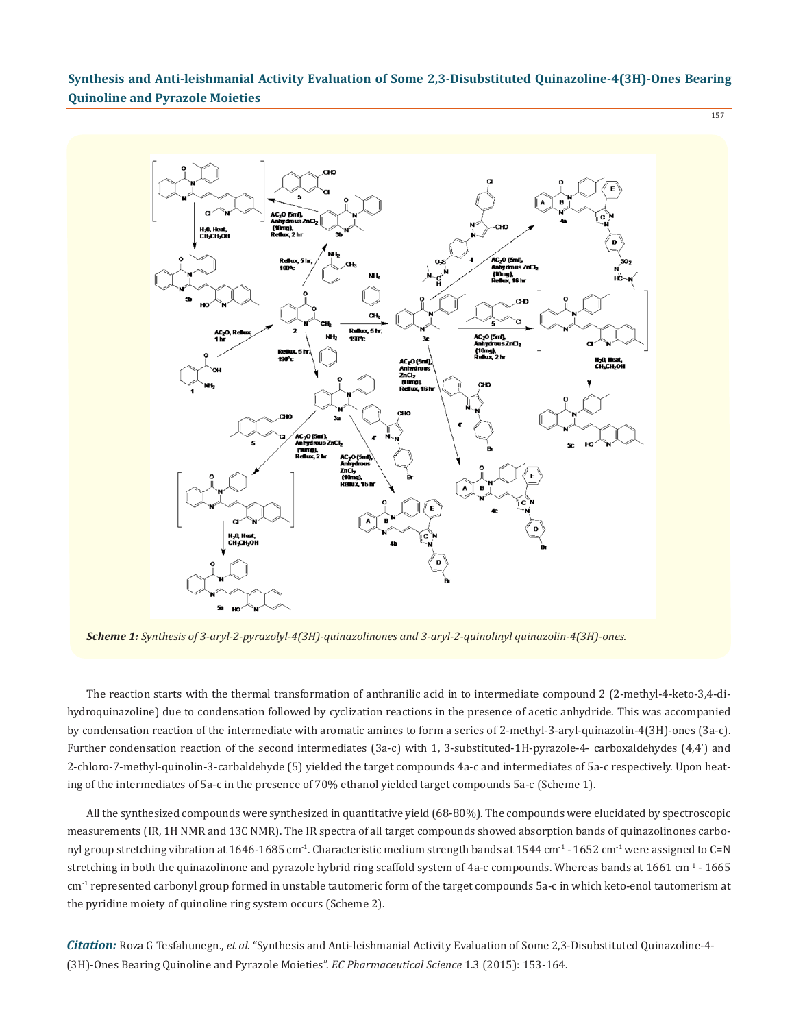157



*Scheme 1: Synthesis of 3-aryl-2-pyrazolyl-4(3H)-quinazolinones and 3-aryl-2-quinolinyl quinazolin-4(3H)-ones.*

The reaction starts with the thermal transformation of anthranilic acid in to intermediate compound 2 (2-methyl-4-keto-3,4-dihydroquinazoline) due to condensation followed by cyclization reactions in the presence of acetic anhydride. This was accompanied by condensation reaction of the intermediate with aromatic amines to form a series of 2-methyl-3-aryl-quinazolin-4(3H)-ones (3a-c). Further condensation reaction of the second intermediates (3a-c) with 1, 3-substituted-1H-pyrazole-4- carboxaldehydes (4,4') and 2-chloro-7-methyl-quinolin-3-carbaldehyde (5) yielded the target compounds 4a-c and intermediates of 5a-c respectively. Upon heating of the intermediates of 5a-c in the presence of 70% ethanol yielded target compounds 5a-c (Scheme 1).

All the synthesized compounds were synthesized in quantitative yield (68-80%). The compounds were elucidated by spectroscopic measurements (IR, 1H NMR and 13C NMR). The IR spectra of all target compounds showed absorption bands of quinazolinones carbonyl group stretching vibration at 1646-1685 cm<sup>-1</sup>. Characteristic medium strength bands at 1544 cm<sup>-1</sup> - 1652 cm<sup>-1</sup> were assigned to C=N stretching in both the quinazolinone and pyrazole hybrid ring scaffold system of 4a-c compounds. Whereas bands at 1661 cm<sup>-1</sup> - 1665 cm<sup>-1</sup> represented carbonyl group formed in unstable tautomeric form of the target compounds 5a-c in which keto-enol tautomerism at the pyridine moiety of quinoline ring system occurs (Scheme 2).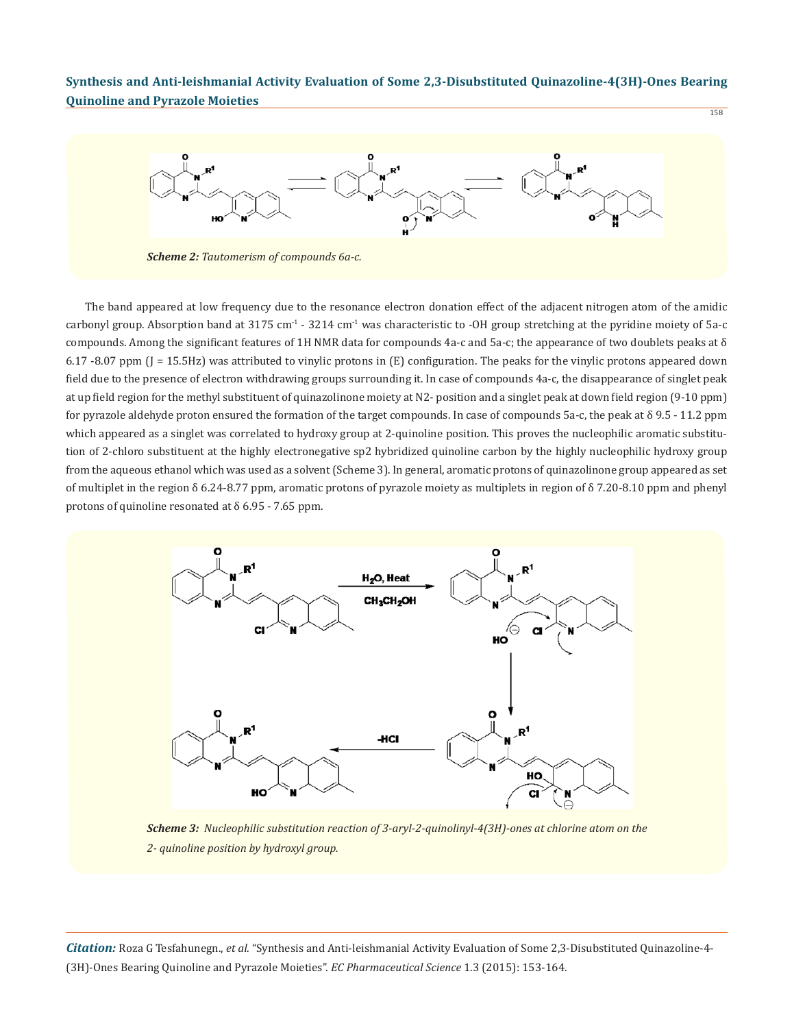158



The band appeared at low frequency due to the resonance electron donation effect of the adjacent nitrogen atom of the amidic carbonyl group. Absorption band at 3175 cm<sup>-1</sup> - 3214 cm<sup>-1</sup> was characteristic to -OH group stretching at the pyridine moiety of 5a-c compounds. Among the significant features of 1H NMR data for compounds 4a-c and 5a-c; the appearance of two doublets peaks at  $\delta$ 6.17 -8.07 ppm (J = 15.5Hz) was attributed to vinylic protons in (E) configuration. The peaks for the vinylic protons appeared down field due to the presence of electron withdrawing groups surrounding it. In case of compounds 4a-c, the disappearance of singlet peak at up field region for the methyl substituent of quinazolinone moiety at N2- position and a singlet peak at down field region (9-10 ppm) for pyrazole aldehyde proton ensured the formation of the target compounds. In case of compounds 5a-c, the peak at δ 9.5 - 11.2 ppm which appeared as a singlet was correlated to hydroxy group at 2-quinoline position. This proves the nucleophilic aromatic substitution of 2-chloro substituent at the highly electronegative sp2 hybridized quinoline carbon by the highly nucleophilic hydroxy group from the aqueous ethanol which was used as a solvent (Scheme 3). In general, aromatic protons of quinazolinone group appeared as set of multiplet in the region δ 6.24-8.77 ppm, aromatic protons of pyrazole moiety as multiplets in region of δ 7.20-8.10 ppm and phenyl protons of quinoline resonated at δ 6.95 - 7.65 ppm.



*Scheme 3: Nucleophilic substitution reaction of 3-aryl-2-quinolinyl-4(3H)-ones at chlorine atom on the 2- quinoline position by hydroxyl group.*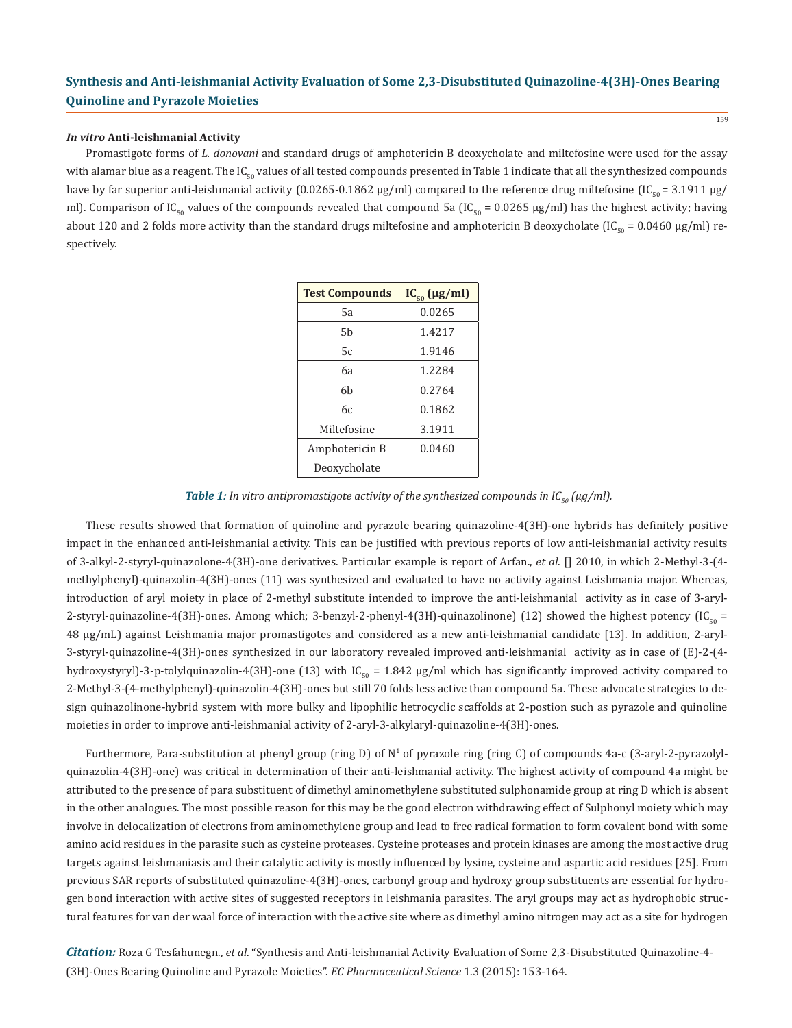### *In vitro* **Anti-leishmanial Activity**

Promastigote forms of *L. donovani* and standard drugs of amphotericin B deoxycholate and miltefosine were used for the assay with alamar blue as a reagent. The  $IC_{50}$  values of all tested compounds presented in Table 1 indicate that all the synthesized compounds have by far superior anti-leishmanial activity (0.0265-0.1862  $\mu$ g/ml) compared to the reference drug miltefosine (IC<sub>50</sub> = 3.1911  $\mu$ g/ ml). Comparison of IC<sub>50</sub> values of the compounds revealed that compound 5a (IC<sub>50</sub> = 0.0265 µg/ml) has the highest activity; having about 120 and 2 folds more activity than the standard drugs miltefosine and amphotericin B deoxycholate (IC<sub>50</sub> = 0.0460 µg/ml) respectively.

| <b>Test Compounds</b> | $IC_{50}$ (µg/ml) |
|-----------------------|-------------------|
| 5а                    | 0.0265            |
| 5b                    | 1.4217            |
| 5c                    | 1.9146            |
| <b>6</b> а            | 1.2284            |
| 6b                    | 0.2764            |
| 6с                    | 0.1862            |
| Miltefosine           | 3.1911            |
| Amphotericin B        | 0.0460            |
| Deoxycholate          |                   |

*Table 1: In vitro antipromastigote activity of the synthesized compounds in*  $IC_{\epsilon_0}(\mu q/ml)$ *.* 

These results showed that formation of quinoline and pyrazole bearing quinazoline-4(3H)-one hybrids has definitely positive impact in the enhanced anti-leishmanial activity. This can be justified with previous reports of low anti-leishmanial activity results of 3-alkyl-2-styryl-quinazolone-4(3H)-one derivatives. Particular example is report of Arfan., *et al*. [] 2010, in which 2-Methyl-3-(4 methylphenyl)-quinazolin-4(3H)-ones (11) was synthesized and evaluated to have no activity against Leishmania major. Whereas, introduction of aryl moiety in place of 2-methyl substitute intended to improve the anti-leishmanial activity as in case of 3-aryl-2-styryl-quinazoline-4(3H)-ones. Among which; 3-benzyl-2-phenyl-4(3H)-quinazolinone) (12) showed the highest potency  $\left(IC_{\text{eq}}\right)$ 48 µg/mL) against Leishmania major promastigotes and considered as a new anti-leishmanial candidate [13]. In addition, 2-aryl-3-styryl-quinazoline-4(3H)-ones synthesized in our laboratory revealed improved anti-leishmanial activity as in case of (E)-2-(4 hydroxystyryl)-3-p-tolylquinazolin-4(3H)-one (13) with IC<sub>50</sub> = 1.842  $\mu$ g/ml which has significantly improved activity compared to 2-Methyl-3-(4-methylphenyl)-quinazolin-4(3H)-ones but still 70 folds less active than compound 5a. These advocate strategies to design quinazolinone-hybrid system with more bulky and lipophilic hetrocyclic scaffolds at 2-postion such as pyrazole and quinoline moieties in order to improve anti-leishmanial activity of 2-aryl-3-alkylaryl-quinazoline-4(3H)-ones.

Furthermore, Para-substitution at phenyl group (ring D) of N<sup>1</sup> of pyrazole ring (ring C) of compounds 4a-c (3-aryl-2-pyrazolylquinazolin-4(3H)-one) was critical in determination of their anti-leishmanial activity. The highest activity of compound 4a might be attributed to the presence of para substituent of dimethyl aminomethylene substituted sulphonamide group at ring D which is absent in the other analogues. The most possible reason for this may be the good electron withdrawing effect of Sulphonyl moiety which may involve in delocalization of electrons from aminomethylene group and lead to free radical formation to form covalent bond with some amino acid residues in the parasite such as cysteine proteases. Cysteine proteases and protein kinases are among the most active drug targets against leishmaniasis and their catalytic activity is mostly influenced by lysine, cysteine and aspartic acid residues [25]. From previous SAR reports of substituted quinazoline-4(3H)-ones, carbonyl group and hydroxy group substituents are essential for hydrogen bond interaction with active sites of suggested receptors in leishmania parasites. The aryl groups may act as hydrophobic structural features for van der waal force of interaction with the active site where as dimethyl amino nitrogen may act as a site for hydrogen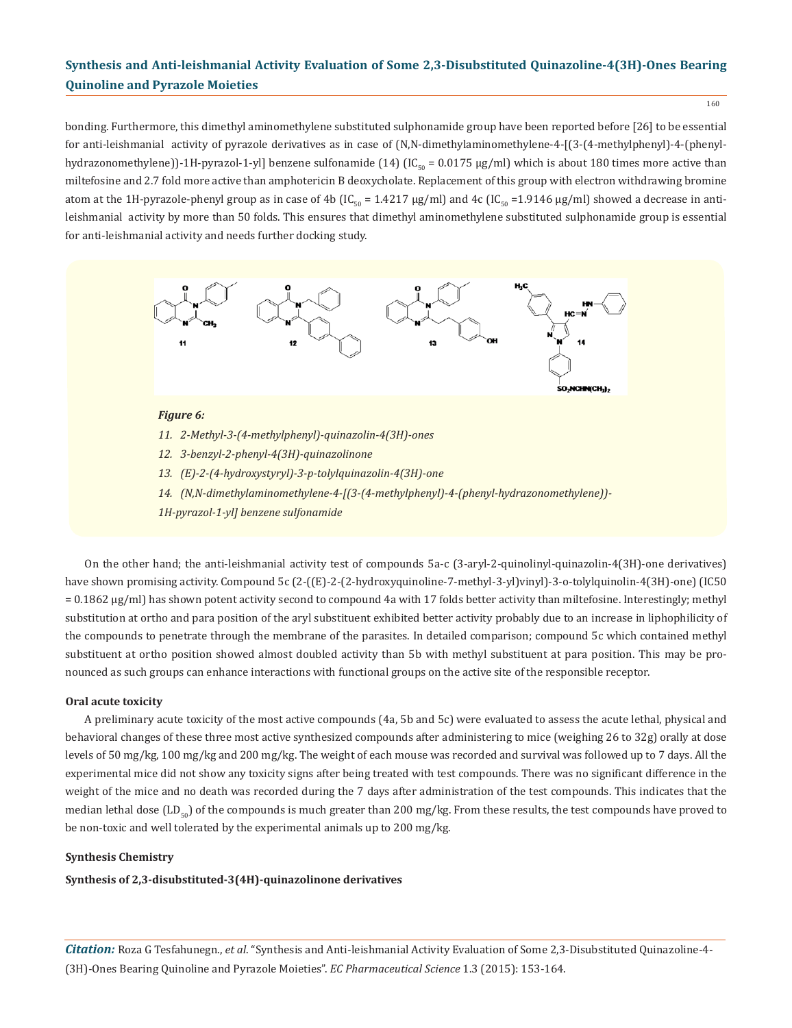160

bonding. Furthermore, this dimethyl aminomethylene substituted sulphonamide group have been reported before [26] to be essential for anti-leishmanial activity of pyrazole derivatives as in case of (N,N-dimethylaminomethylene-4-[(3-(4-methylphenyl)-4-(phenylhydrazonomethylene))-1H-pyrazol-1-yl] benzene sulfonamide (14) (IC<sub>50</sub> = 0.0175 µg/ml) which is about 180 times more active than miltefosine and 2.7 fold more active than amphotericin B deoxycholate. Replacement of this group with electron withdrawing bromine atom at the 1H-pyrazole-phenyl group as in case of 4b  $[IC_{50} = 1.4217 \mu g/ml]$  and 4c  $[IC_{50} = 1.9146 \mu g/ml]$  showed a decrease in antileishmanial activity by more than 50 folds. This ensures that dimethyl aminomethylene substituted sulphonamide group is essential for anti-leishmanial activity and needs further docking study.



#### *Figure 6:*

- *11. 2-Methyl-3-(4-methylphenyl)-quinazolin-4(3H)-ones*
- *12. 3-benzyl-2-phenyl-4(3H)-quinazolinone*
- *13. (E)-2-(4-hydroxystyryl)-3-p-tolylquinazolin-4(3H)-one*
- *14. (N,N-dimethylaminomethylene-4-[(3-(4-methylphenyl)-4-(phenyl-hydrazonomethylene))-*
- *1H-pyrazol-1-yl] benzene sulfonamide*

On the other hand; the anti-leishmanial activity test of compounds 5a-c (3-aryl-2-quinolinyl-quinazolin-4(3H)-one derivatives) have shown promising activity. Compound 5c (2-((E)-2-(2-hydroxyquinoline-7-methyl-3-yl)vinyl)-3-o-tolylquinolin-4(3H)-one) (IC50 = 0.1862 μg/ml) has shown potent activity second to compound 4a with 17 folds better activity than miltefosine. Interestingly; methyl substitution at ortho and para position of the aryl substituent exhibited better activity probably due to an increase in liphophilicity of the compounds to penetrate through the membrane of the parasites. In detailed comparison; compound 5c which contained methyl substituent at ortho position showed almost doubled activity than 5b with methyl substituent at para position. This may be pronounced as such groups can enhance interactions with functional groups on the active site of the responsible receptor.

# **Oral acute toxicity**

A preliminary acute toxicity of the most active compounds (4a, 5b and 5c) were evaluated to assess the acute lethal, physical and behavioral changes of these three most active synthesized compounds after administering to mice (weighing 26 to 32g) orally at dose levels of 50 mg/kg, 100 mg/kg and 200 mg/kg. The weight of each mouse was recorded and survival was followed up to 7 days. All the experimental mice did not show any toxicity signs after being treated with test compounds. There was no significant difference in the weight of the mice and no death was recorded during the 7 days after administration of the test compounds. This indicates that the median lethal dose (LD<sub>50</sub>) of the compounds is much greater than 200 mg/kg. From these results, the test compounds have proved to be non-toxic and well tolerated by the experimental animals up to 200 mg/kg.

# **Synthesis Chemistry**

**Synthesis of 2,3-disubstituted-3(4H)-quinazolinone derivatives**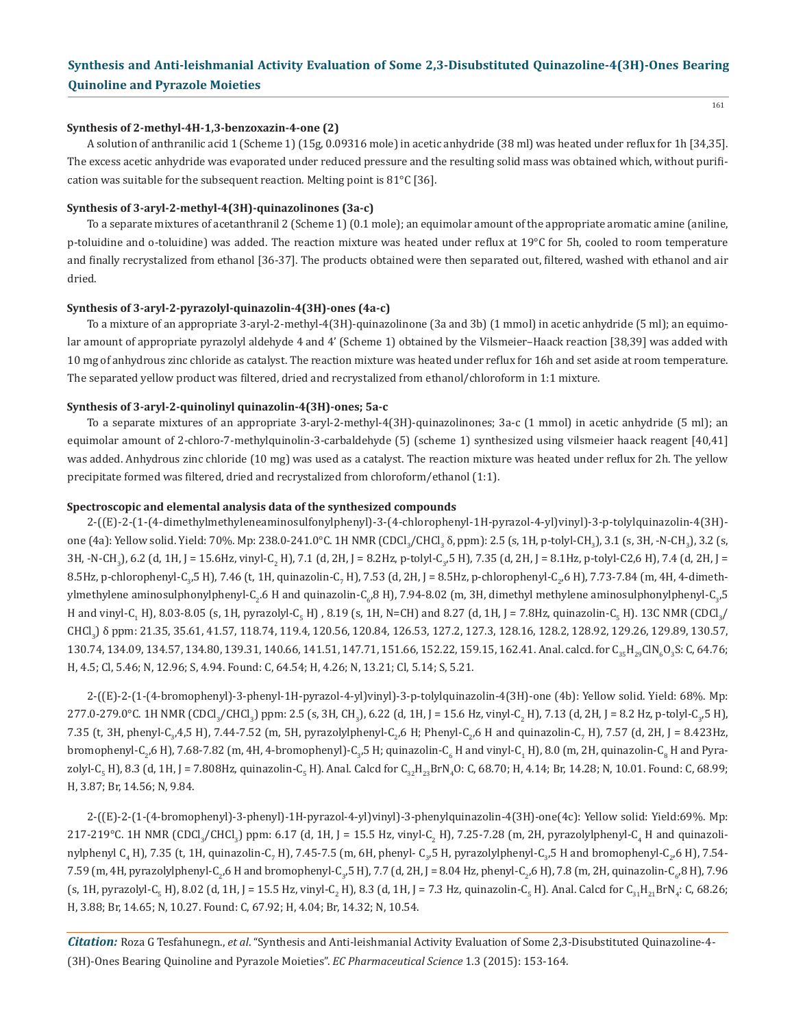#### **Synthesis of 2-methyl-4H-1,3-benzoxazin-4-one (2)**

A solution of anthranilic acid 1 (Scheme 1) (15g, 0.09316 mole) in acetic anhydride (38 ml) was heated under reflux for 1h [34,35]. The excess acetic anhydride was evaporated under reduced pressure and the resulting solid mass was obtained which, without purification was suitable for the subsequent reaction. Melting point is 81°C [36].

# **Synthesis of 3-aryl-2-methyl-4(3H)-quinazolinones (3a-c)**

To a separate mixtures of acetanthranil 2 (Scheme 1) (0.1 mole); an equimolar amount of the appropriate aromatic amine (aniline, p-toluidine and o-toluidine) was added. The reaction mixture was heated under reflux at 19°C for 5h, cooled to room temperature and finally recrystalized from ethanol [36-37]. The products obtained were then separated out, filtered, washed with ethanol and air dried.

#### **Synthesis of 3-aryl-2-pyrazolyl-quinazolin-4(3H)-ones (4a-c)**

To a mixture of an appropriate 3-aryl-2-methyl-4(3H)-quinazolinone (3a and 3b) (1 mmol) in acetic anhydride (5 ml); an equimolar amount of appropriate pyrazolyl aldehyde 4 and 4' (Scheme 1) obtained by the Vilsmeier–Haack reaction [38,39] was added with 10 mg of anhydrous zinc chloride as catalyst. The reaction mixture was heated under reflux for 16h and set aside at room temperature. The separated yellow product was filtered, dried and recrystalized from ethanol/chloroform in 1:1 mixture.

### **Synthesis of 3-aryl-2-quinolinyl quinazolin-4(3H)-ones; 5a-c**

To a separate mixtures of an appropriate 3-aryl-2-methyl-4(3H)-quinazolinones; 3a-c (1 mmol) in acetic anhydride (5 ml); an equimolar amount of 2-chloro-7-methylquinolin-3-carbaldehyde (5) (scheme 1) synthesized using vilsmeier haack reagent [40,41] was added. Anhydrous zinc chloride (10 mg) was used as a catalyst. The reaction mixture was heated under reflux for 2h. The yellow precipitate formed was filtered, dried and recrystalized from chloroform/ethanol (1:1).

#### **Spectroscopic and elemental analysis data of the synthesized compounds**

2-((E)-2-(1-(4-dimethylmethyleneaminosulfonylphenyl)-3-(4-chlorophenyl-1H-pyrazol-4-yl)vinyl)-3-p-tolylquinazolin-4(3H) one (4a): Yellow solid. Yield: 70%. Mp: 238.0-241.0°C. 1H NMR (CDCl<sub>3</sub>/CHCl<sub>3</sub> δ, ppm): 2.5 (s, 1H, p-tolyl-CH<sub>3</sub>), 3.1 (s, 3H, -N-CH<sub>3</sub>), 3.2 (s, 3H, -N-CH<sub>3</sub>), 6.2 (d, 1H, J = 15.6Hz, vinyl-C<sub>2</sub> H), 7.1 (d, 2H, J = 8.2Hz, p-tolyl-C<sub>3</sub>,5 H), 7.35 (d, 2H, J = 8.1Hz, p-tolyl-C2,6 H), 7.4 (d, 2H, J = 8.5Hz, p-chlorophenyl-C<sub>3</sub>,5 H), 7.46 (t, 1H, quinazolin-C<sub>7</sub> H), 7.53 (d, 2H, J = 8.5Hz, p-chlorophenyl-C<sub>2</sub>,6 H), 7.73-7.84 (m, 4H, 4-dimethylmethylene aminosulphonylphenyl-C<sub>2</sub>.6 H and quinazolin-C<sub>6</sub>,8 H), 7.94-8.02 (m, 3H, dimethyl methylene aminosulphonylphenyl-C<sub>3</sub>,5</sub> H and vinyl-C<sub>1</sub> H), 8.03-8.05 (s, 1H, pyrazolyl-C<sub>5</sub> H) , 8.19 (s, 1H, N=CH) and 8.27 (d, 1H, J = 7.8Hz, quinazolin-C<sub>5</sub> H). 13C NMR (CDCl<sub>3</sub>/ CHCl<sub>3</sub>) δ ppm: 21.35, 35.61, 41.57, 118.74, 119.4, 120.56, 120.84, 126.53, 127.2, 127.3, 128.16, 128.2, 128.92, 129.26, 129.89, 130.57,  $130.74, 134.09, 134.57, 134.80, 139.31, 140.66, 141.51, 147.71, 151.66, 152.22, 159.15, 162.41.$  Anal. calcd. for  $\mathcal{C}_{35}\mathcal{H}_{29}\mathcal{C}\mathcal{N}_{6}Q_{3}S$ : C, 64.76; H, 4.5; Cl, 5.46; N, 12.96; S, 4.94. Found: C, 64.54; H, 4.26; N, 13.21; Cl, 5.14; S, 5.21.

2-((E)-2-(1-(4-bromophenyl)-3-phenyl-1H-pyrazol-4-yl)vinyl)-3-p-tolylquinazolin-4(3H)-one (4b): Yellow solid. Yield: 68%. Mp:  $277.0$ - $279.0$ °C. 1H NMR (CDCI<sub>3</sub>/CHCI<sub>3</sub>) ppm: 2.5 (s, 3H, CH<sub>3</sub>), 6.22 (d, 1H, J = 15.6 Hz, vinyl-C<sub>2</sub> H), 7.13 (d, 2H, J = 8.2 Hz, p-tolyl-C<sub>3</sub>,5 H), 7.35 (t, 3H, phenyl-C<sub>3</sub>,4,5 H), 7.44-7.52 (m, 5H, pyrazolylphenyl-C<sub>2</sub>,6 H; Phenyl-C<sub>2</sub>,6 H and quinazolin-C<sub>7</sub> H), 7.57 (d, 2H, J = 8.423Hz, bromophenyl-C<sub>2</sub>,6 H), 7.68-7.82 (m, 4H, 4-bromophenyl)-C<sub>3</sub>,5 H; quinazolin-C<sub>6</sub> H and vinyl-C<sub>1</sub> H), 8.0 (m, 2H, quinazolin-C<sub>8</sub> H and Pyrazolyl-C<sub>5</sub> H), 8.3 (d, 1H, J = 7.808Hz, quinazolin-C<sub>5</sub> H). Anal. Calcd for C<sub>32</sub>H<sub>23</sub>BrN<sub>4</sub>O: C, 68.70; H, 4.14; Br, 14.28; N, 10.01. Found: C, 68.99; H, 3.87; Br, 14.56; N, 9.84.

2-((E)-2-(1-(4-bromophenyl)-3-phenyl)-1H-pyrazol-4-yl)vinyl)-3-phenylquinazolin-4(3H)-one(4c): Yellow solid: Yield:69%. Mp: 217-219°C. TH NMR (CDCl<sub>3</sub>/CHCl<sub>3</sub>) ppm: 6.17 (d, 1H, J = 15.5 Hz, vinyl-C<sub>2</sub> H), 7.25-7.28 (m, 2H, pyrazolylphenyl-C<sub>4</sub> H and quinazolinylphenyl C<sub>4</sub> H), 7.35 (t, 1H, quinazolin-C<sub>7</sub> H), 7.45-7.5 (m, 6H, phenyl- C<sub>3</sub>,5 H, pyrazolylphenyl-C<sub>3</sub>,5 H and bromophenyl-C<sub>2</sub>,6 H), 7.54- $7.59$  (m, 4H, pyrazolylphenyl-C<sub>2</sub>,6 H and bromophenyl-C<sub>3</sub>,5 H), 7.7 (d, 2H, J = 8.04 Hz, phenyl-C<sub>2</sub>,6 H), 7.8 (m, 2H, quinazolin-C<sub>6</sub>,8 H), 7.96 (s, 1H, pyrazolyl-C<sub>5</sub> H), 8.02 (d, 1H, J = 15.5 Hz, vinyl-C<sub>2</sub> H), 8.3 (d, 1H, J = 7.3 Hz, quinazolin-C<sub>5</sub> H). Anal. Calcd for C<sub>31</sub>H<sub>21</sub>BrN<sub>4</sub>: C, 68.26; H, 3.88; Br, 14.65; N, 10.27. Found: C, 67.92; H, 4.04; Br, 14.32; N, 10.54.

*Citation:* Roza G Tesfahunegn., *et al*. "Synthesis and Anti-leishmanial Activity Evaluation of Some 2,3-Disubstituted Quinazoline-4- (3H)-Ones Bearing Quinoline and Pyrazole Moieties". *EC Pharmaceutical Science* 1.3 (2015): 153-164.

161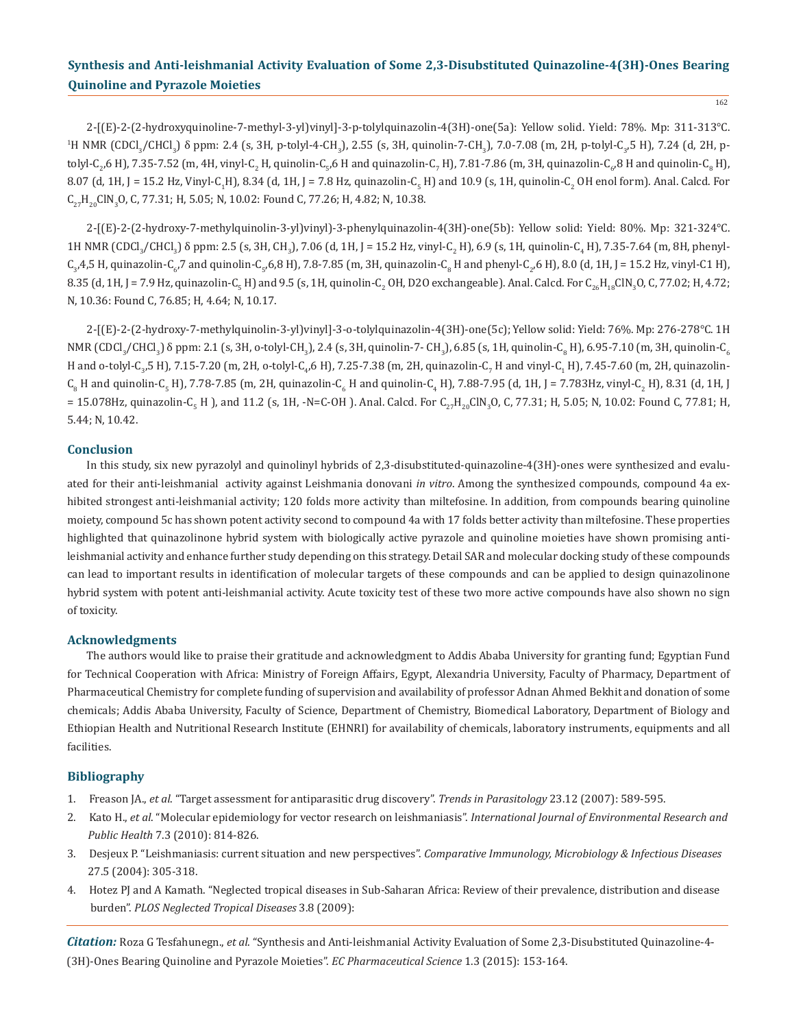162

2-[(E)-2-(2-hydroxyquinoline-7-methyl-3-yl)vinyl]-3-p-tolylquinazolin-4(3H)-one(5a): Yellow solid. Yield: 78%. Mp: 311-313°C.  $^{1}$ H NMR (CDCl $_{3}$ /CHCl $_{3}$ )  $\delta$  ppm: 2.4 (s, 3H, p-tolyl-4-CH $_{3}$ ), 2.55 (s, 3H, quinolin-7-CH $_{3}$ ), 7.0-7.08 (m, 2H, p-tolyl-C $_{3}$ 5 H), 7.24 (d, 2H, ptolyl-C<sub>2</sub>,6 H), 7.35-7.52 (m, 4H, vinyl-C<sub>2</sub> H, quinolin-C<sub>5</sub>,6 H and quinazolin-C<sub>7</sub> H), 7.81-7.86 (m, 3H, quinazolin-C<sub>6</sub>,8 H and quinolin-C<sub>8</sub> H), 8.07 (d, 1H, J = 15.2 Hz, Vinyl-C<sub>1</sub>H), 8.34 (d, 1H, J = 7.8 Hz, quinazolin-C<sub>5</sub> H) and 10.9 (s, 1H, quinolin-C<sub>2</sub> OH enol form). Anal. Calcd. For  $\mathsf{C}_{27}\mathsf{H}_{20}\mathsf{CIN}_3\mathsf{O}$ , C, 77.31; H, 5.05; N, 10.02: Found C, 77.26; H, 4.82; N, 10.38.

2-[(E)-2-(2-hydroxy-7-methylquinolin-3-yl)vinyl)-3-phenylquinazolin-4(3H)-one(5b): Yellow solid: Yield: 80%. Mp: 321-324°C.  $1$ H NMR (CDCl<sub>3</sub>/CHCl<sub>3</sub>)  $\delta$  ppm: 2.5 (s, 3H, CH<sub>3</sub>), 7.06 (d, 1H, J = 15.2 Hz, vinyl-C<sub>2</sub> H), 6.9 (s, 1H, quinolin-C<sub>4</sub> H), 7.35-7.64 (m, 8H, phenyl- $\mathsf{C}_3$ 4,5 H, quinazolin- $\mathsf{C}_{6'}$  and quinolin- $\mathsf{C}_5$ 6,8 H), 7.8-7.85 (m, 3H, quinazolin- $\mathsf{C}_8$  H and phenyl-C<sub>2</sub>,6 H), 8.0 (d, 1H, J = 15.2 Hz, vinyl-C1 H), 8.35 (d, IH, J = 7.9 Hz, quinazolin-C<sub>5</sub> H) and 9.5 (s, IH, quinolin-C<sub>2</sub> OH, D2O exchangeable). Anal. Calcd. For C<sub>26</sub>H<sub>18</sub>ClN<sub>3</sub>O, C, 77.02; H, 4.72; N, 10.36: Found C, 76.85; H, 4.64; N, 10.17.

2-[(E)-2-(2-hydroxy-7-methylquinolin-3-yl)vinyl]-3-o-tolylquinazolin-4(3H)-one(5c); Yellow solid: Yield: 76%. Mp: 276-278°C. 1H NMR (CDCl<sub>3</sub>/CHCl<sub>3</sub>) o ppm: 2.1 (s, 3H, o-tolyl-CH<sub>3</sub>), 2.4 (s, 3H, quinolin-7- CH<sub>3</sub>), 6.85 (s, 1H, quinolin-C<sub>6</sub> H), 6.95-7.10 (m, 3H, quinolin-C<sub>6</sub> H and o-tolyl-C<sub>3</sub>,5 H), 7.15-7.20 (m, 2H, o-tolyl-C<sub>4</sub>,6 H), 7.25-7.38 (m, 2H, quinazolin-C<sub>7</sub> H and vinyl-C<sub>1</sub> H), 7.45-7.60 (m, 2H, quinazolin- $\mathsf{C}_8$  H and quinolin- $\mathsf{C}_5$  H), 7.78-7.85 (m, 2H, quinazolin- $\mathsf{C}_6$  H and quinolin- $\mathsf{C}_4$  H), 7.88-7.95 (d, 1H, J = 7.783Hz, vinyl- $\mathsf{C}_2$  H), 8.31 (d, 1H, J = 15.078Hz, quinazolin-C<sub>5</sub> H ), and 11.2 (s, 1H, -N=C-OH ). Anal. Calcd. For C<sub>27</sub>H<sub>20</sub>ClN<sub>3</sub>O, C, 77.31; H, 5.05; N, 10.02: Found C, 77.81; H, 5.44; N, 10.42.

# **Conclusion**

In this study, six new pyrazolyl and quinolinyl hybrids of 2,3-disubstituted-quinazoline-4(3H)-ones were synthesized and evaluated for their anti-leishmanial activity against Leishmania donovani *in vitro*. Among the synthesized compounds, compound 4a exhibited strongest anti-leishmanial activity; 120 folds more activity than miltefosine. In addition, from compounds bearing quinoline moiety, compound 5c has shown potent activity second to compound 4a with 17 folds better activity than miltefosine. These properties highlighted that quinazolinone hybrid system with biologically active pyrazole and quinoline moieties have shown promising antileishmanial activity and enhance further study depending on this strategy. Detail SAR and molecular docking study of these compounds can lead to important results in identification of molecular targets of these compounds and can be applied to design quinazolinone hybrid system with potent anti-leishmanial activity. Acute toxicity test of these two more active compounds have also shown no sign of toxicity.

#### **Acknowledgments**

The authors would like to praise their gratitude and acknowledgment to Addis Ababa University for granting fund; Egyptian Fund for Technical Cooperation with Africa: Ministry of Foreign Affairs, Egypt, Alexandria University, Faculty of Pharmacy, Department of Pharmaceutical Chemistry for complete funding of supervision and availability of professor Adnan Ahmed Bekhit and donation of some chemicals; Addis Ababa University, Faculty of Science, Department of Chemistry, Biomedical Laboratory, Department of Biology and Ethiopian Health and Nutritional Research Institute (EHNRI) for availability of chemicals, laboratory instruments, equipments and all facilities.

# **Bibliography**

- 1. Freason JA., *et al*. "Target assessment for antiparasitic drug discovery". *Trends in Parasitology* 23.12 (2007): 589-595.
- 2. Kato H., *et al*. "Molecular epidemiology for vector research on leishmaniasis". *International Journal of Environmental Research and Public Health* 7.3 (2010): 814-826.
- 3. Desjeux P. "Leishmaniasis: current situation and new perspectives". *Comparative Immunology, Microbiology & Infectious Diseases* 27.5 (2004): 305-318.
- 4. Hotez PJ and A Kamath. "Neglected tropical diseases in Sub-Saharan Africa: Review of their prevalence, distribution and disease burden". *PLOS Neglected Tropical Diseases* 3.8 (2009):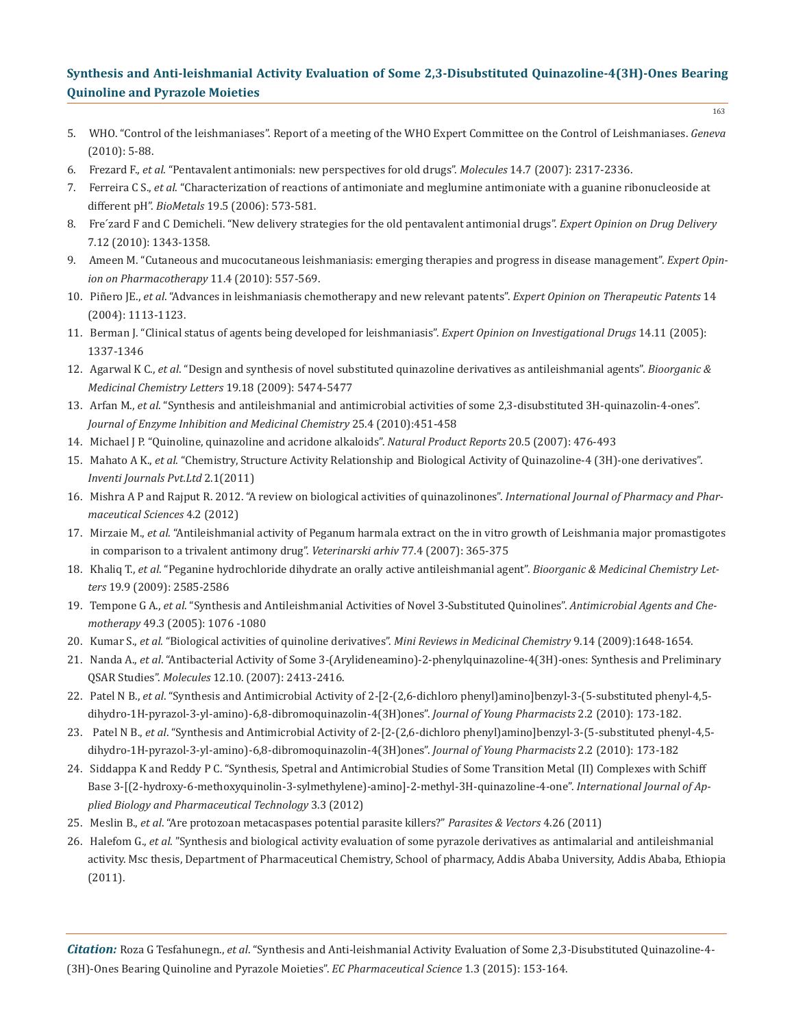- 5. WHO. "Control of the leishmaniases". Report of a meeting of the WHO Expert Committee on the Control of Leishmaniases. *Geneva* (2010): 5-88.
- 6. Frezard F., *et al*. "Pentavalent antimonials: new perspectives for old drugs". *Molecules* 14.7 (2007): 2317-2336.
- 7. Ferreira C S., *et al*. "Characterization of reactions of antimoniate and meglumine antimoniate with a guanine ribonucleoside at different pH". *BioMetals* 19.5 (2006): 573-581.
- 8. Fre´zard F and C Demicheli. "New delivery strategies for the old pentavalent antimonial drugs". *Expert Opinion on Drug Delivery* 7.12 (2010): 1343-1358.
- 9. Ameen M. "Cutaneous and mucocutaneous leishmaniasis: emerging therapies and progress in disease management". *Expert Opin ion on Pharmacotherapy* 11.4 (2010): 557-569.
- 10. Piñero JE., *et al*. "Advances in leishmaniasis chemotherapy and new relevant patents". *Expert Opinion on Therapeutic Patents* 14 (2004): 1113-1123.
- 11. Berman J. "Clinical status of agents being developed for leishmaniasis". *Expert Opinion on Investigational Drugs* 14.11 (2005): 1337-1346
- 12. Agarwal K C., *et al*. "Design and synthesis of novel substituted quinazoline derivatives as antileishmanial agents". *Bioorganic & Medicinal Chemistry Letters* 19.18 (2009): 5474-5477
- 13. Arfan M., *et al*. "Synthesis and antileishmanial and antimicrobial activities of some 2,3-disubstituted 3H-quinazolin-4-ones".  *Journal of Enzyme Inhibition and Medicinal Chemistry* 25.4 (2010):451-458
- 14. Michael J P. "Quinoline, quinazoline and acridone alkaloids". *Natural Product Reports* 20.5 (2007): 476-493
- 15. Mahato A K., *et al*. "Chemistry, Structure Activity Relationship and Biological Activity of Quinazoline-4 (3H)-one derivatives".  *Inventi Journals Pvt.Ltd* 2.1(2011)
- 16. Mishra A P and Rajput R. 2012. "A review on biological activities of quinazolinones". *International Journal of Pharmacy and Phar maceutical Sciences* 4.2 (2012)
- 17. Mirzaie M., *et al*. "Antileishmanial activity of Peganum harmala extract on the in vitro growth of Leishmania major promastigotes in comparison to a trivalent antimony drug". *Veterinarski arhiv* 77.4 (2007): 365-375
- 18. Khaliq T., *et al*. "Peganine hydrochloride dihydrate an orally active antileishmanial agent". *Bioorganic & Medicinal Chemistry Let ters* 19.9 (2009): 2585-2586
- 19. Tempone G A., *et al*. "Synthesis and Antileishmanial Activities of Novel 3-Substituted Quinolines". *Antimicrobial Agents and Che motherapy* 49.3 (2005): 1076 -1080
- 20. Kumar S., *et al*. "Biological activities of quinoline derivatives". *Mini Reviews in Medicinal Chemistry* 9.14 (2009):1648-1654.
- 21. Nanda A., *et al*. "Antibacterial Activity of Some 3-(Arylideneamino)-2-phenylquinazoline-4(3H)-ones: Synthesis and Preliminary QSAR Studies". *Molecules* 12.10. (2007): 2413-2416.
- 22. Patel N B., *et al*. "Synthesis and Antimicrobial Activity of 2-[2-(2,6-dichloro phenyl)amino]benzyl-3-(5-substituted phenyl-4,5 dihydro-1H-pyrazol-3-yl-amino)-6,8-dibromoquinazolin-4(3H)ones". *Journal of Young Pharmacists* 2.2 (2010): 173-182.
- 23. Patel N B., *et al*. "Synthesis and Antimicrobial Activity of 2-[2-(2,6-dichloro phenyl)amino]benzyl-3-(5-substituted phenyl-4,5 dihydro-1H-pyrazol-3-yl-amino)-6,8-dibromoquinazolin-4(3H)ones". *Journal of Young Pharmacists* 2.2 (2010): 173-182
- 24. Siddappa K and Reddy P C. "Synthesis, Spetral and Antimicrobial Studies of Some Transition Metal (II) Complexes with Schiff Base 3-[(2-hydroxy-6-methoxyquinolin-3-sylmethylene)-amino]-2-methyl-3H-quinazoline-4-one". *International Journal of Ap plied Biology and Pharmaceutical Technology* 3.3 (2012)
- 25. Meslin B., *et al*. "Are protozoan metacaspases potential parasite killers?" *Parasites & Vectors* 4.26 (2011)
- 26. Halefom G., *et al*. "Synthesis and biological activity evaluation of some pyrazole derivatives as antimalarial and antileishmanial activity. Msc thesis, Department of Pharmaceutical Chemistry, School of pharmacy, Addis Ababa University, Addis Ababa, Ethiopia  $(2011).$